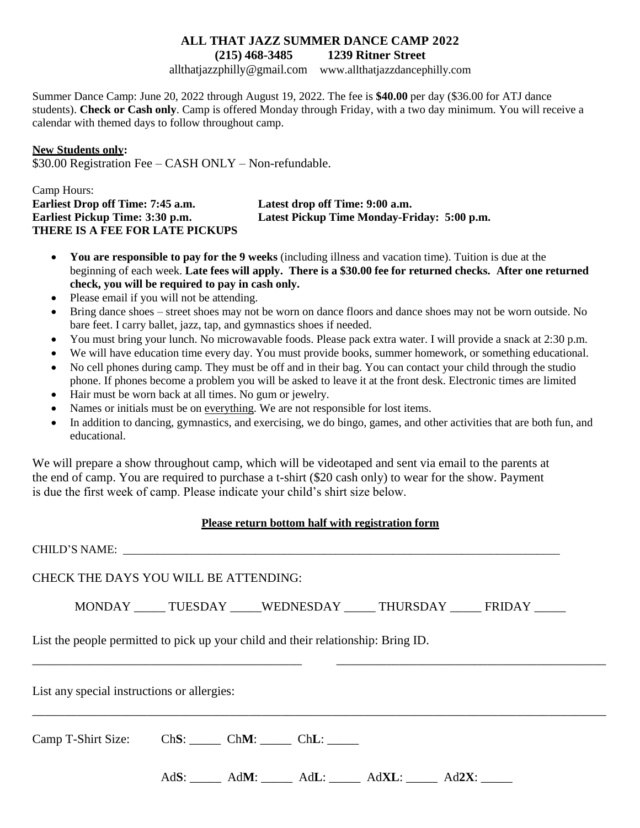### **ALL THAT JAZZ SUMMER DANCE CAMP 2022 (215) 468-3485 1239 Ritner Street**

[allthatjazzphilly@gmail.com](mailto:allthatjazzphilly@gmail.com) [www.allthatjazzdancephilly.com](http://www.allthatjazzdancephilly.com/)

Summer Dance Camp: June 20, 2022 through August 19, 2022. The fee is **\$40.00** per day (\$36.00 for ATJ dance students). **Check or Cash only**. Camp is offered Monday through Friday, with a two day minimum. You will receive a calendar with themed days to follow throughout camp.

### **New Students only:**

\$30.00 Registration Fee – CASH ONLY – Non-refundable.

### Camp Hours: **Earliest Drop off Time: 7:45 a.m. Latest drop off Time: 9:00 a.m. Earliest Pickup Time: 3:30 p.m. Latest Pickup Time Monday-Friday: 5:00 p.m. THERE IS A FEE FOR LATE PICKUPS**

- **You are responsible to pay for the 9 weeks** (including illness and vacation time). Tuition is due at the beginning of each week. **Late fees will apply. There is a \$30.00 fee for returned checks. After one returned check, you will be required to pay in cash only.**
- Please email if you will not be attending.
- Bring dance shoes street shoes may not be worn on dance floors and dance shoes may not be worn outside. No bare feet. I carry ballet, jazz, tap, and gymnastics shoes if needed.
- You must bring your lunch. No microwavable foods. Please pack extra water. I will provide a snack at 2:30 p.m.
- We will have education time every day. You must provide books, summer homework, or something educational.
- No cell phones during camp. They must be off and in their bag. You can contact your child through the studio phone. If phones become a problem you will be asked to leave it at the front desk. Electronic times are limited
- Hair must be worn back at all times. No gum or jewelry.
- Names or initials must be on everything. We are not responsible for lost items.
- In addition to dancing, gymnastics, and exercising, we do bingo, games, and other activities that are both fun, and educational.

We will prepare a show throughout camp, which will be videotaped and sent via email to the parents at the end of camp. You are required to purchase a t-shirt (\$20 cash only) to wear for the show. Payment is due the first week of camp. Please indicate your child's shirt size below.

#### **Please return bottom half with registration form**

|                                             | CHILD'S NAME:                                                                     |
|---------------------------------------------|-----------------------------------------------------------------------------------|
|                                             | CHECK THE DAYS YOU WILL BE ATTENDING:                                             |
|                                             | MONDAY TUESDAY WEDNESDAY THURSDAY FRIDAY                                          |
|                                             | List the people permitted to pick up your child and their relationship: Bring ID. |
| List any special instructions or allergies: |                                                                                   |
|                                             | Camp T-Shirt Size: ChS: ChM: ChM: ChL:                                            |
|                                             | $AdS:$ $AdM:$ $AdL:$ $AdXL:$ $AdXL:$ $Ad2X:$                                      |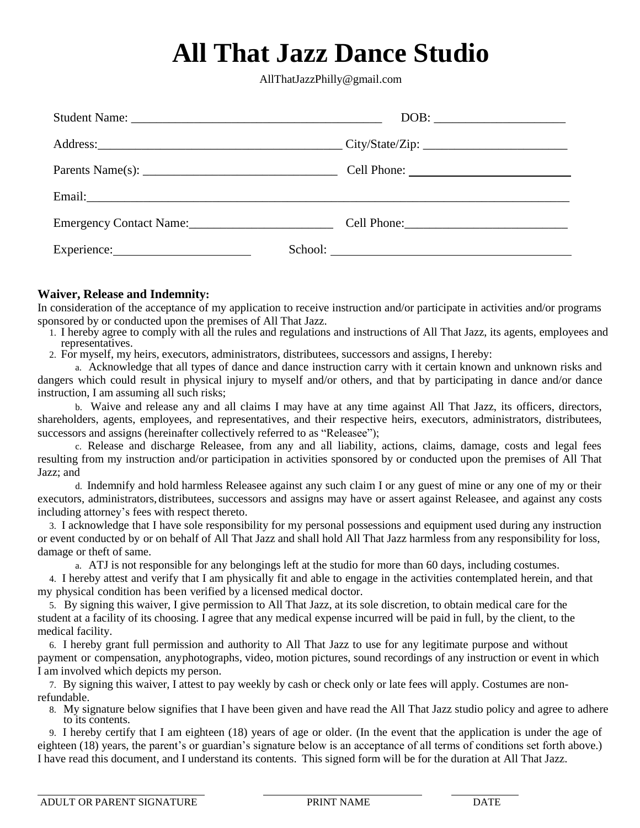### **All That Jazz Dance Studio**

AllThatJazzPhilly@gmail.com

|             | DOB:             |
|-------------|------------------|
|             |                  |
|             |                  |
|             |                  |
|             | Cell Phone: 2008 |
| Experience: | School:          |

### **Waiver, Release and Indemnity:**

In consideration of the acceptance of my application to receive instruction and/or participate in activities and/or programs sponsored by or conducted upon the premises of All That Jazz.

- 1. I hereby agree to comply with all the rules and regulations and instructions of All That Jazz, its agents, employees and representatives.
- 2. For myself, my heirs, executors, administrators, distributees, successors and assigns, I hereby:

a. Acknowledge that all types of dance and dance instruction carry with it certain known and unknown risks and dangers which could result in physical injury to myself and/or others, and that by participating in dance and/or dance instruction, I am assuming all such risks;

b. Waive and release any and all claims I may have at any time against All That Jazz, its officers, directors, shareholders, agents, employees, and representatives, and their respective heirs, executors, administrators, distributees, successors and assigns (hereinafter collectively referred to as "Releasee");

c. Release and discharge Releasee, from any and all liability, actions, claims, damage, costs and legal fees resulting from my instruction and/or participation in activities sponsored by or conducted upon the premises of All That Jazz; and

d. Indemnify and hold harmless Releasee against any such claim I or any guest of mine or any one of my or their executors, administrators, distributees, successors and assigns may have or assert against Releasee, and against any costs including attorney's fees with respect thereto.

3. I acknowledge that I have sole responsibility for my personal possessions and equipment used during any instruction or event conducted by or on behalf of All That Jazz and shall hold All That Jazz harmless from any responsibility for loss, damage or theft of same.

a. ATJ is not responsible for any belongings left at the studio for more than 60 days, including costumes.

4. I hereby attest and verify that I am physically fit and able to engage in the activities contemplated herein, and that my physical condition has been verified by a licensed medical doctor.

5. By signing this waiver, I give permission to All That Jazz, at its sole discretion, to obtain medical care for the student at a facility of its choosing. I agree that any medical expense incurred will be paid in full, by the client, to the medical facility.

6. I hereby grant full permission and authority to All That Jazz to use for any legitimate purpose and without payment or compensation, anyphotographs, video, motion pictures, sound recordings of any instruction or event in which I am involved which depicts my person.

7. By signing this waiver, I attest to pay weekly by cash or check only or late fees will apply. Costumes are nonrefundable.

8. My signature below signifies that I have been given and have read the All That Jazz studio policy and agree to adhere to its contents.

9. I hereby certify that I am eighteen (18) years of age or older. (In the event that the application is under the age of eighteen (18) years, the parent's or guardian's signature below is an acceptance of all terms of conditions set forth above.) I have read this document, and I understand its contents. This signed form will be for the duration at All That Jazz.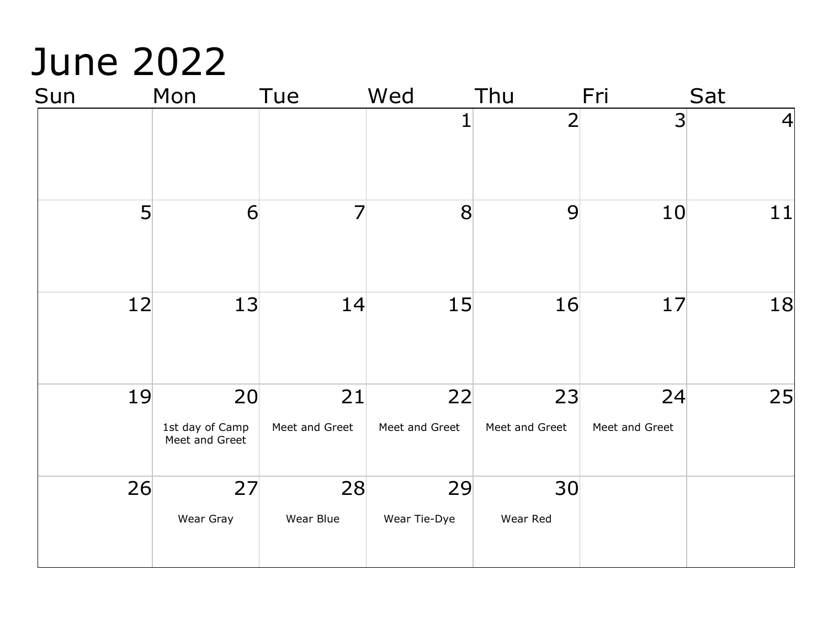## June 2022

| Sun | Mon                                     | Tue                  | Wed                  | Thu                  | Fri                  | Sat            |
|-----|-----------------------------------------|----------------------|----------------------|----------------------|----------------------|----------------|
|     |                                         |                      | $\overline{1}$       | $\overline{2}$       | $\overline{3}$       | $\overline{4}$ |
|     | 5<br>6                                  |                      | 8                    | 9                    | 10                   | 11             |
| 12  | 13                                      | 14                   | 15                   | 16                   | 17                   | 18             |
| 19  | 20<br>1st day of Camp<br>Meet and Greet | 21<br>Meet and Greet | 22<br>Meet and Greet | 23<br>Meet and Greet | 24<br>Meet and Greet | 25             |
| 26  | 27<br>Wear Gray                         | 28<br>Wear Blue      | 29<br>Wear Tie-Dye   | 30<br>Wear Red       |                      |                |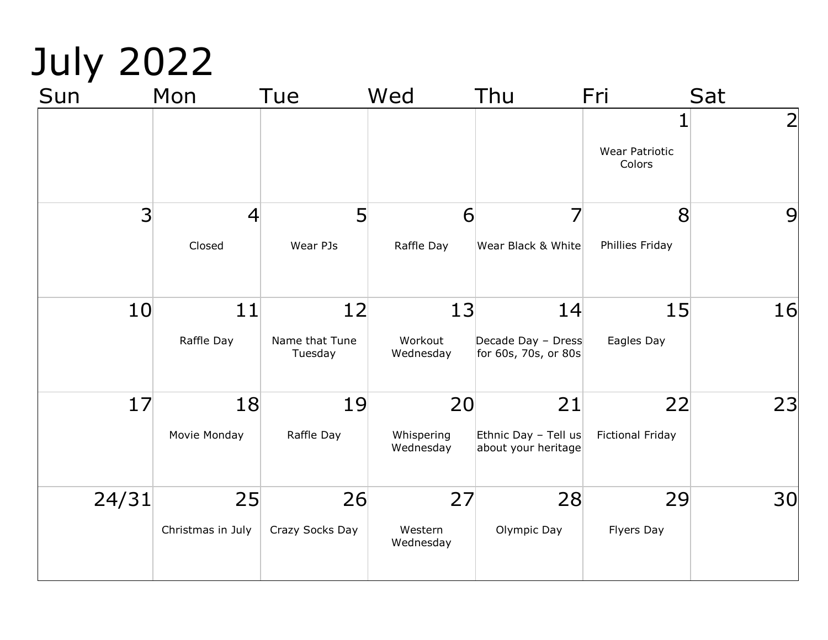# July 2022

| Sun            | Mon                      | Tue                             | Wed                           | Thu                                               | Fri                             | Sat            |
|----------------|--------------------------|---------------------------------|-------------------------------|---------------------------------------------------|---------------------------------|----------------|
|                |                          |                                 |                               |                                                   | <b>Wear Patriotic</b><br>Colors | $\overline{2}$ |
| $\overline{3}$ | $\overline{4}$<br>Closed | 5<br>Wear PJs                   | 6<br>Raffle Day               | Wear Black & White                                | 8<br>Phillies Friday            | 9              |
| 10             | 11<br>Raffle Day         | 12<br>Name that Tune<br>Tuesday | 13<br>Workout<br>Wednesday    | 14<br>Decade Day - Dress<br>for 60s, 70s, or 80s  | 15<br>Eagles Day                | 16             |
| 17             | 18<br>Movie Monday       | 19<br>Raffle Day                | 20<br>Whispering<br>Wednesday | 21<br>Ethnic Day - Tell us<br>about your heritage | 22<br><b>Fictional Friday</b>   | 23             |
| 24/31          | 25<br>Christmas in July  | 26<br>Crazy Socks Day           | 27<br>Western<br>Wednesday    | 28<br>Olympic Day                                 | 29<br>Flyers Day                | 30             |